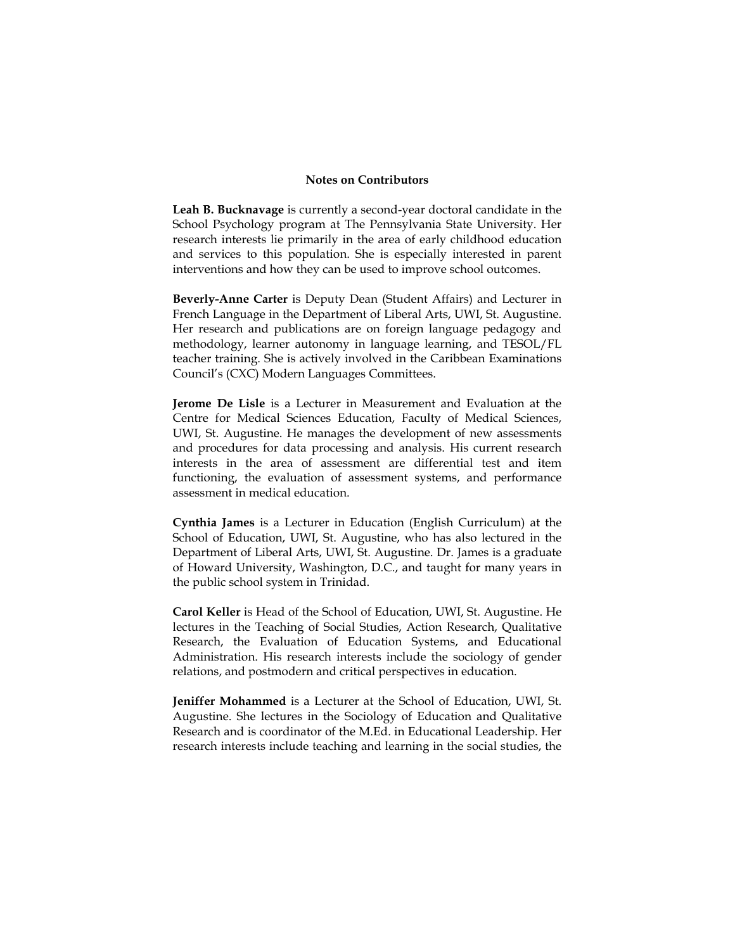## **Notes on Contributors**

**Leah B. Bucknavage** is currently a second-year doctoral candidate in the School Psychology program at The Pennsylvania State University. Her research interests lie primarily in the area of early childhood education and services to this population. She is especially interested in parent interventions and how they can be used to improve school outcomes.

**Beverly-Anne Carter** is Deputy Dean (Student Affairs) and Lecturer in French Language in the Department of Liberal Arts, UWI, St. Augustine. Her research and publications are on foreign language pedagogy and methodology, learner autonomy in language learning, and TESOL/FL teacher training. She is actively involved in the Caribbean Examinations Council's (CXC) Modern Languages Committees.

**Jerome De Lisle** is a Lecturer in Measurement and Evaluation at the Centre for Medical Sciences Education, Faculty of Medical Sciences, UWI, St. Augustine. He manages the development of new assessments and procedures for data processing and analysis. His current research interests in the area of assessment are differential test and item functioning, the evaluation of assessment systems, and performance assessment in medical education.

**Cynthia James** is a Lecturer in Education (English Curriculum) at the School of Education, UWI, St. Augustine, who has also lectured in the Department of Liberal Arts, UWI, St. Augustine. Dr. James is a graduate of Howard University, Washington, D.C., and taught for many years in the public school system in Trinidad.

**Carol Keller** is Head of the School of Education, UWI, St. Augustine. He lectures in the Teaching of Social Studies, Action Research, Qualitative Research, the Evaluation of Education Systems, and Educational Administration. His research interests include the sociology of gender relations, and postmodern and critical perspectives in education.

**Jeniffer Mohammed** is a Lecturer at the School of Education, UWI, St. Augustine. She lectures in the Sociology of Education and Qualitative Research and is coordinator of the M.Ed. in Educational Leadership. Her research interests include teaching and learning in the social studies, the